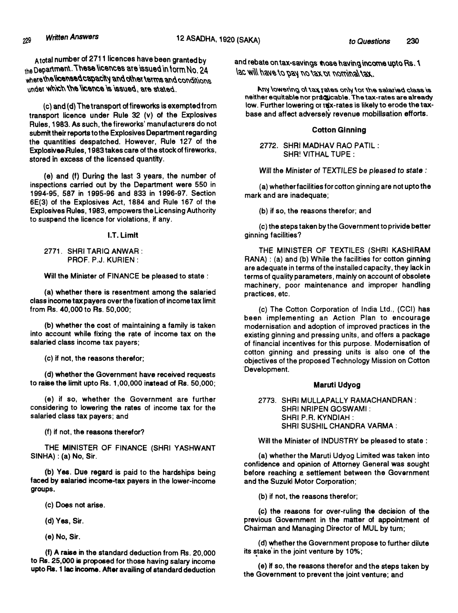**A total nurnber of 2711 licences have been granted by** the Department. These licences are issued in form No. 24 where the licensed capacity and other terms and conditions<br>under which the licence is issued, are stated

**(c) and (d) The transport of fireworks is exempted from transport licence under Rule 32 (v) of the Explosives Rules, 1983. As such, the fireworks' manufacturers do not submit their reports to the Explosives Department regarding the quantities despatched. However, Rule 127 of the Explosive&sRules, 1983 takes care of the stock of fireworks, stored in excess of the licensed quantity.**

**(e) and (f) During the last 3 years, the number of inspections carried out by the Department were 550 in 1994-95, 587 in 1995-96 and 833 in 1996-97. Section 6E(3) of the Explosives Act, 1884 and Rule 167 of the Explosives Rules, 1983, empowers the Licensing Authority to suspend the licence for violations, if any.**

**I.T. Limit**

**2771. SHRI TARIQ ANWAR : PROF. P.J. KURIEN :**

**Will the Minister of FINANCE be pleased to state :**

**(a) whether there is resentment among the salaried** class income tax payers over the fixation of income tax limit **from Rs. 40,000 to Rs. 50,000;**

**(b) whether the cost of maintaining a family is taken into account while fixing the rate of income tax on the salaried class income tax payers;**

**(c) if not, the reasons therefor;**

**(d) whether the Government have received requests to raise the limit upto Rs. 1,00,000 instead of Rs. 50,000;**

**(e) if so, whether the Government are further considering to lowering the rates of income tax for the salaried class tax payers; and**

**(f) if not, the reasons therefor?**

**THE MINISTER OF FINANCE (SHRI YASHWANT SINHA): (a) No, Sir.**

**(b) Yes. Due regard is paid to the hardships being faced by salaried income-tax payers in the lower-income groups.**

**(c) Does not arise.**

**(d) Yes, Sir.**

**(e) No. Sir.**

**(f) A raise in the standard deduction from Rs. 20,000 to Rs. 25.000 is proposed for those having salary income upto Rs. 1 lac inconr^e. After availing of standard deduction** and rebate on tax-savings those having income upto Rs. 1 lac will have to pay no tax br nominal tax.

**ai** and  $\theta$  beinstand to that a sofar as the pair of the same of the SNM. neither equitable nor practicable. The tax-rates are already low. Further lowering or tax-rates is likely to erode the tax**base and affect adversely revenue mobilisation efforts.**

#### **Cotton Ginning**

**2772. SHRI MADHAV RAO PATIL : SHR! VITHAL TUPE :**

**Will the** *Minister of TEXTILES be pleased to state :*

**(a) whetherfacilities for cotton ginning are not upto the mark and are inadequate;**

**(b) if so, the reasons therefor; and**

**(c) the steps taken by the Government to privide better ginning facilities?**

**THE MINISTER OF TEXTILES (SHRI KASHIRAM RANA) : (a) and (b) While the facilities for cotton ginning are adequate in terms of the installed capacity, they lack in terms of quality parameters, mainly on account of obsolete machinery, poor maintenance and improper handling practices, etc.**

**(c) The Cotton Corporation of India Ltd., (CCI) has been implementing an Action Plan to encourage modernisation and adoption of improved practices in the existing ginning and pressing units, and offers a package of financial incentives for this purpose. Modernisation of cotton ginning and pressing units is also one of the objectives of the proposed Technology Mission on Cotton Development.**

### **MarutI Udyog**

**2773. SHRI MULLAPALLY RAMACHANDRAN : SHRI NRIPEN GOSWAMI : SHRI P.R. KYNDIAH : SHRI SUSHIL CHANDRA VARMA ;**

**Will the Minister of INDUSTRY be pleased to state :**

**(a) whether the Maruti Udyog Limited was taken into confidence and opinion of Attorney General was sought before reaching a settlement between the Government and the Suzuki Motor Corporation;**

**(b) if not, the reasons therefor;**

**(c) the reasons for over-ruling the decision of the previous Government in the matter of appointment of Chairman and Managing Director of MUL by turn;**

**(d) whether the Government propose to further dilute its stake in the joint venture by 10%;**

**(e) if so, the reasons therefor and the steps taken by the Government to prevent the joint venture; and**